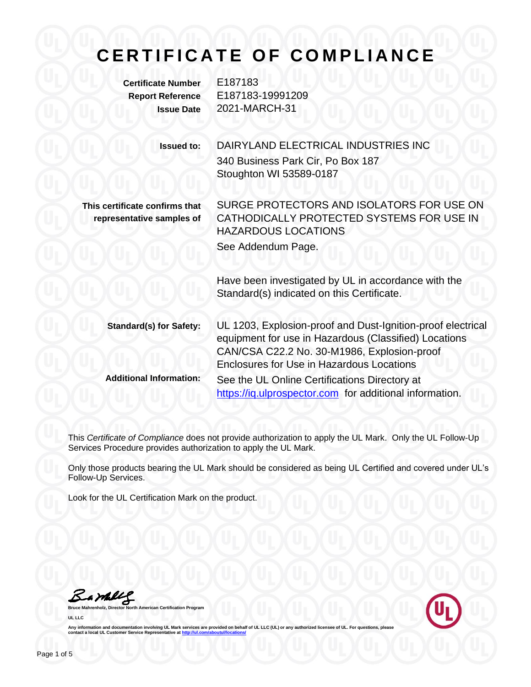## **C E R T I F I C A T E O F C O M P L I A N C E**

**Certificate Number** E187183

**Report Reference** E187183-19991209 **Issue Date** 2021-MARCH-31

> **Issued to:** DAIRYLAND ELECTRICAL INDUSTRIES INC 340 Business Park Cir, Po Box 187 Stoughton WI 53589-0187

**This certificate confirms that representative samples of** SURGE PROTECTORS AND ISOLATORS FOR USE ON CATHODICALLY PROTECTED SYSTEMS FOR USE IN HAZARDOUS LOCATIONS See Addendum Page.

Have been investigated by UL in accordance with the Standard(s) indicated on this Certificate.

**Standard(s) for Safety:** UL 1203, Explosion-proof and Dust-Ignition-proof electrical equipment for use in Hazardous (Classified) Locations CAN/CSA C22.2 No. 30-M1986, Explosion-proof Enclosures for Use in Hazardous Locations **Additional Information:** See the UL Online Certifications Directory at https://iq.ulprospector.com for additional information.

This *Certificate of Compliance* does not provide authorization to apply the UL Mark. Only the UL Follow-Up Services Procedure provides authorization to apply the UL Mark.

Only those products bearing the UL Mark should be considered as being UL Certified and covered under UL's Follow-Up Services.

Look for the UL Certification Mark on the product.

Samale

**American Certification Program UL LLC**

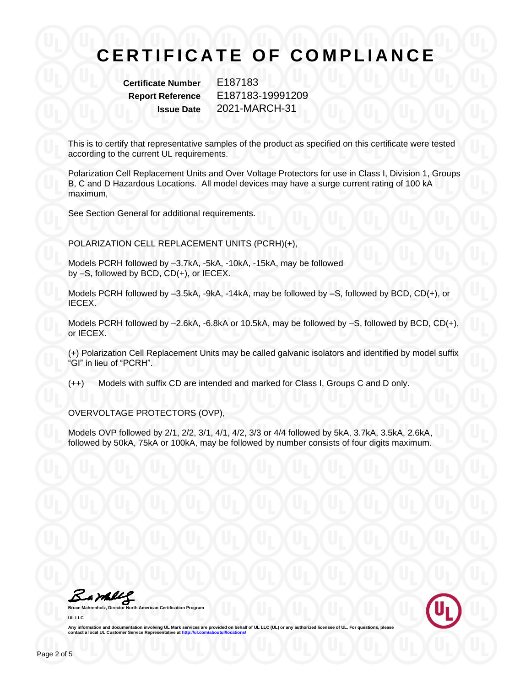**Certificate Number** E187183

**Report Reference** E187183-19991209 **Issue Date** 2021-MARCH-31

This is to certify that representative samples of the product as specified on this certificate were tested according to the current UL requirements.

Polarization Cell Replacement Units and Over Voltage Protectors for use in Class I, Division 1, Groups B, C and D Hazardous Locations. All model devices may have a surge current rating of 100 kA maximum,

See Section General for additional requirements.

POLARIZATION CELL REPLACEMENT UNITS (PCRH)(+),

Models PCRH followed by –3.7kA, -5kA, -10kA, -15kA, may be followed by –S, followed by BCD, CD(+), or IECEX.

Models PCRH followed by –3.5kA, -9kA, -14kA, may be followed by –S, followed by BCD, CD(+), or IECEX.

Models PCRH followed by –2.6kA, -6.8kA or 10.5kA, may be followed by –S, followed by BCD, CD(+), or IECEX.

(+) Polarization Cell Replacement Units may be called galvanic isolators and identified by model suffix "GI" in lieu of "PCRH".

(++) Models with suffix CD are intended and marked for Class I, Groups C and D only.

OVERVOLTAGE PROTECTORS (OVP),

Models OVP followed by 2/1, 2/2, 3/1, 4/1, 4/2, 3/3 or 4/4 followed by 5kA, 3.7kA, 3.5kA, 2.6kA, followed by 50kA, 75kA or 100kA, may be followed by number consists of four digits maximum.

Barbley

**Bruce Mahrenholz, Director North American Certification Program UL LLC**

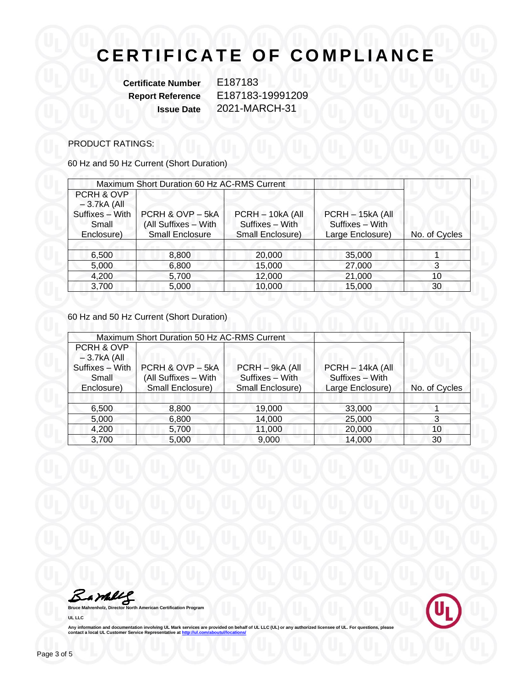**Certificate Number** E187183

**Report Reference** E187183-19991209 **Issue Date** 2021-MARCH-31

#### PRODUCT RATINGS:

60 Hz and 50 Hz Current (Short Duration)

| Maximum Short Duration 60 Hz AC-RMS Current |                        |                  |                  |               |
|---------------------------------------------|------------------------|------------------|------------------|---------------|
| PCRH & OVP                                  |                        |                  |                  |               |
| $-3.7kA$ (All                               |                        |                  |                  |               |
| Suffixes - With                             | PCRH & OVP-5kA         | PCRH - 10kA (All | PCRH - 15kA (All |               |
| Small                                       | (All Suffixes - With   | Suffixes - With  | Suffixes - With  |               |
| Enclosure)                                  | <b>Small Enclosure</b> | Small Enclosure) | Large Enclosure) | No. of Cycles |
|                                             |                        |                  |                  |               |
| 6,500                                       | 8,800                  | 20,000           | 35,000           |               |
| 5,000                                       | 6,800                  | 15,000           | 27,000           | 3             |
| 4,200                                       | 5,700                  | 12,000           | 21,000           | 10            |
| 3,700                                       | 5,000                  | 10,000           | 15,000           | 30            |

60 Hz and 50 Hz Current (Short Duration)

| Maximum Short Duration 50 Hz AC-RMS Current |                      |                  |                  |               |
|---------------------------------------------|----------------------|------------------|------------------|---------------|
| PCRH & OVP                                  |                      |                  |                  |               |
| $-3.7kA$ (All                               |                      |                  |                  |               |
| Suffixes - With                             | PCRH & OVP - 5kA     | PCRH - 9kA (All  | PCRH - 14kA (All |               |
| Small                                       | (All Suffixes - With | Suffixes - With  | Suffixes - With  |               |
| Enclosure)                                  | Small Enclosure)     | Small Enclosure) | Large Enclosure) | No. of Cycles |
|                                             |                      |                  |                  |               |
| 6,500                                       | 8,800                | 19,000           | 33,000           |               |
| 5,000                                       | 6,800                | 14,000           | 25,000           | 3             |
| 4,200                                       | 5,700                | 11,000           | 20,000           | 10            |
| 3,700                                       | 5,000                | 9,000            | 14,000           | 30            |

**Bruce Mahrenholz, Director North American Certification Program** 

**UL LLC**

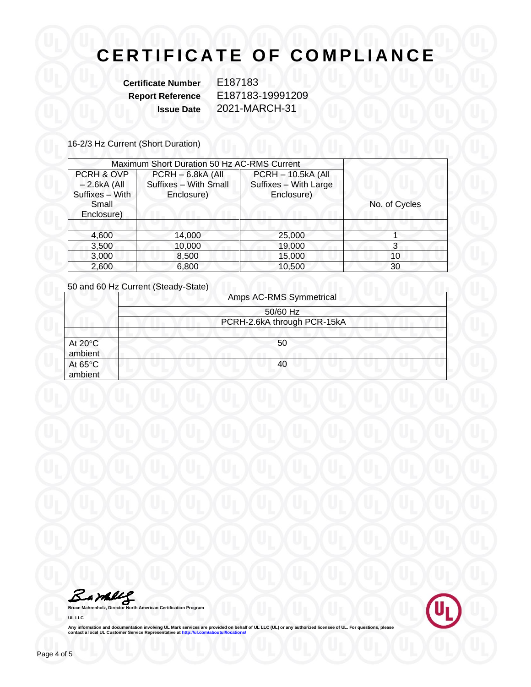**Certificate Number** E187183

**Report Reference** E187183-19991209 **Issue Date** 2021-MARCH-31

16-2/3 Hz Current (Short Duration)

| Maximum Short Duration 50 Hz AC-RMS Current    |                                                          |                                                                  |               |
|------------------------------------------------|----------------------------------------------------------|------------------------------------------------------------------|---------------|
| PCRH & OVP<br>$-2.6kA$ (All<br>Suffixes - With | PCRH - 6.8kA (All<br>Suffixes - With Small<br>Enclosure) | <b>PCRH - 10.5kA (All</b><br>Suffixes - With Large<br>Enclosure) |               |
| Small<br>Enclosure)                            |                                                          |                                                                  | No. of Cycles |
|                                                |                                                          |                                                                  |               |
| 4,600                                          | 14,000                                                   | 25,000                                                           |               |
| 3,500                                          | 10,000                                                   | 19,000                                                           | 3             |
| 3,000                                          | 8,500                                                    | 15,000                                                           | 10            |
| 2,600                                          | 6.800                                                    | 10,500                                                           | 30            |

50 and 60 Hz Current (Steady-State)

|                              | Amps AC-RMS Symmetrical     |  |  |
|------------------------------|-----------------------------|--|--|
|                              | 50/60 Hz                    |  |  |
|                              | PCRH-2.6kA through PCR-15kA |  |  |
| At $20^{\circ}$ C<br>ambient | 50                          |  |  |
| At $65^{\circ}$ C<br>ambient | 40                          |  |  |

**Bruce Mahrenholz, Director North American Certification Program** 

**UL LLC**